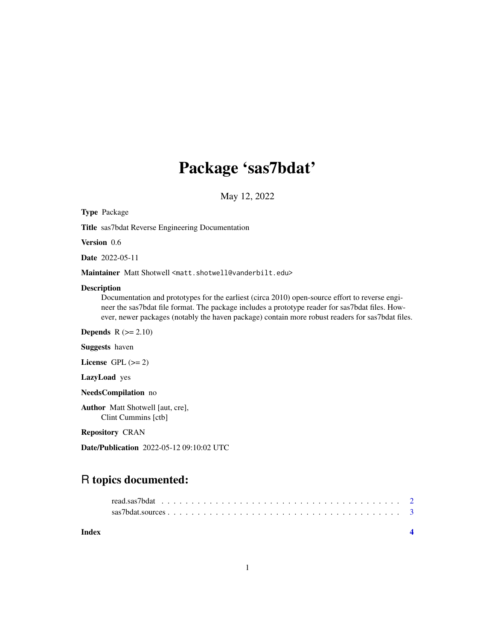## Package 'sas7bdat'

May 12, 2022

Type Package

Title sas7bdat Reverse Engineering Documentation

Version 0.6

Date 2022-05-11

Maintainer Matt Shotwell <matt.shotwell@vanderbilt.edu>

#### Description

Documentation and prototypes for the earliest (circa 2010) open-source effort to reverse engineer the sas7bdat file format. The package includes a prototype reader for sas7bdat files. However, newer packages (notably the haven package) contain more robust readers for sas7bdat files.

**Depends**  $R$  ( $>= 2.10$ )

Suggests haven

License GPL  $(>= 2)$ 

LazyLoad yes

NeedsCompilation no

Author Matt Shotwell [aut, cre], Clint Cummins [ctb]

Repository CRAN

Date/Publication 2022-05-12 09:10:02 UTC

### R topics documented: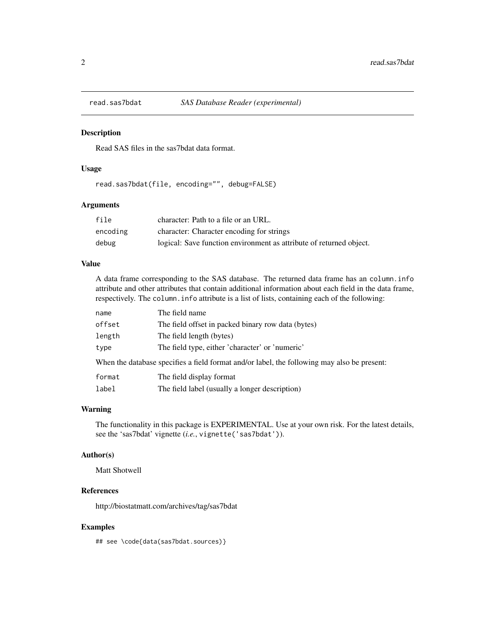<span id="page-1-0"></span>

#### Description

Read SAS files in the sas7bdat data format.

#### Usage

read.sas7bdat(file, encoding="", debug=FALSE)

#### Arguments

| file     | character: Path to a file or an URL.                                |
|----------|---------------------------------------------------------------------|
| encoding | character: Character encoding for strings                           |
| debug    | logical: Save function environment as attribute of returned object. |

#### Value

A data frame corresponding to the SAS database. The returned data frame has an column.info attribute and other attributes that contain additional information about each field in the data frame, respectively. The column.info attribute is a list of lists, containing each of the following:

| name   | The field name                                                                              |
|--------|---------------------------------------------------------------------------------------------|
| offset | The field offset in packed binary row data (bytes)                                          |
| length | The field length (bytes)                                                                    |
| type   | The field type, either 'character' or 'numeric'                                             |
|        | When the database specifies a field format and/or label, the following may also be present: |
| format | The field display format                                                                    |
| label  | The field label (usually a longer description)                                              |
|        |                                                                                             |

#### Warning

The functionality in this package is EXPERIMENTAL. Use at your own risk. For the latest details, see the 'sas7bdat' vignette (*i.e.*, vignette('sas7bdat')).

#### Author(s)

Matt Shotwell

#### References

http://biostatmatt.com/archives/tag/sas7bdat

#### Examples

## see \code{data(sas7bdat.sources)}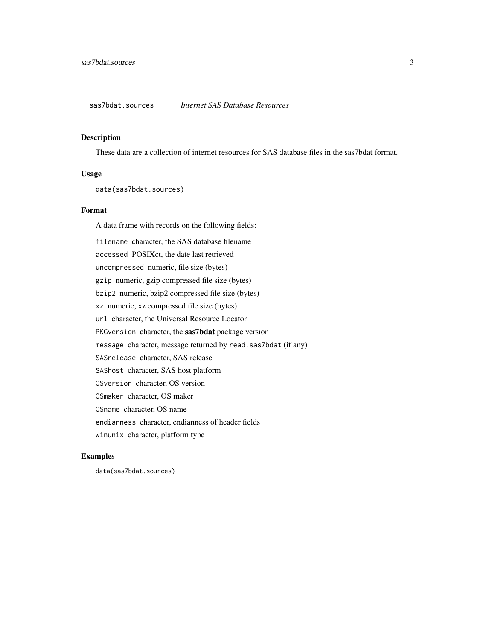<span id="page-2-0"></span>sas7bdat.sources *Internet SAS Database Resources*

#### Description

These data are a collection of internet resources for SAS database files in the sas7bdat format.

#### Usage

data(sas7bdat.sources)

#### Format

A data frame with records on the following fields: filename character, the SAS database filename accessed POSIXct, the date last retrieved uncompressed numeric, file size (bytes) gzip numeric, gzip compressed file size (bytes) bzip2 numeric, bzip2 compressed file size (bytes) xz numeric, xz compressed file size (bytes) url character, the Universal Resource Locator PKGversion character, the sas7bdat package version message character, message returned by read.sas7bdat (if any) SASrelease character, SAS release SAShost character, SAS host platform OSversion character, OS version OSmaker character, OS maker OSname character, OS name endianness character, endianness of header fields winunix character, platform type

#### Examples

data(sas7bdat.sources)